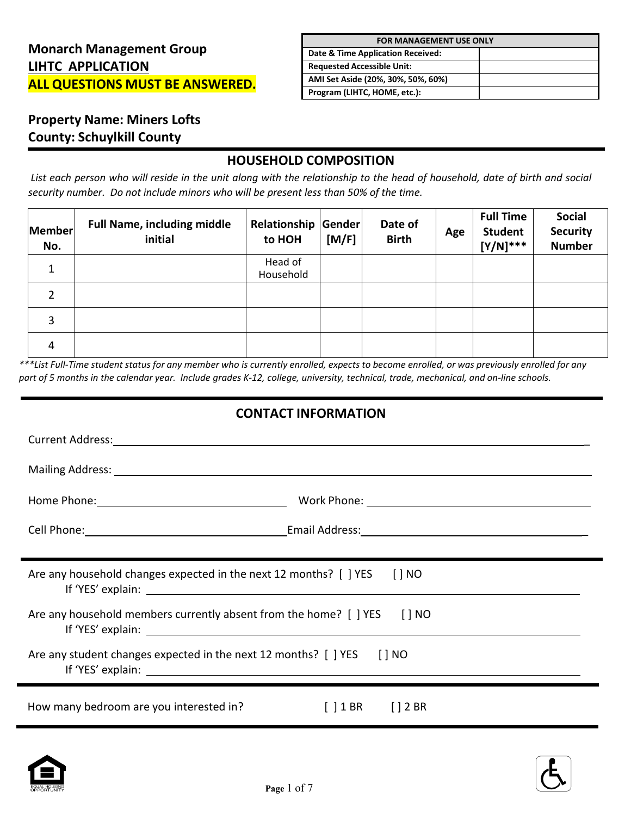| <b>FOR MANAGEMENT USE ONLY</b>     |  |  |  |
|------------------------------------|--|--|--|
| Date & Time Application Received:  |  |  |  |
| <b>Requested Accessible Unit:</b>  |  |  |  |
| AMI Set Aside (20%, 30%, 50%, 60%) |  |  |  |
| Program (LIHTC, HOME, etc.):       |  |  |  |

# **Property Name: Miners Lofts County: Schuylkill County**

**.** 

### **HOUSEHOLD COMPOSITION**

List each person who will reside in the unit along with the relationship to the head of household, date of birth and social *security number. Do not include minors who will be present less than 50% of the time.*

| Member<br>No. | <b>Full Name, including middle</b><br>initial | Relationship Gender<br>to HOH | [M/F] | Date of<br><b>Birth</b> | Age | <b>Full Time</b><br><b>Student</b><br>$[Y/N]^{***}$ | <b>Social</b><br><b>Security</b><br><b>Number</b> |
|---------------|-----------------------------------------------|-------------------------------|-------|-------------------------|-----|-----------------------------------------------------|---------------------------------------------------|
| 1             |                                               | Head of<br>Household          |       |                         |     |                                                     |                                                   |
| 2             |                                               |                               |       |                         |     |                                                     |                                                   |
| 3             |                                               |                               |       |                         |     |                                                     |                                                   |
| 4             |                                               |                               |       |                         |     |                                                     |                                                   |

\*\*\*List Full-Time student status for any member who is currently enrolled, expects to become enrolled, or was previously enrolled for any part of 5 months in the calendar year. Include grades K-12, college, university, technical, trade, mechanical, and on-line schools.

#### **CONTACT INFORMATION**

| Cell Phone: Cell Phone: Cell Phone: Cell Phone: Cell Phone: Cell Phone: Cell Phone: Cell Phone: Cell Phone: Cell Phone: Cell Phone: Cell Phone: Cell Phone: Cell Phone: Cell Phone: Cell Phone: Cell Phone: Cell Phone: Cell P |                                                    |
|--------------------------------------------------------------------------------------------------------------------------------------------------------------------------------------------------------------------------------|----------------------------------------------------|
|                                                                                                                                                                                                                                |                                                    |
| Are any household changes expected in the next 12 months? $\lceil$   YES $\lceil$   NO<br>If 'YES' explain: Notice that the set of the set of the set of the set of the set of the set of the set of the                       |                                                    |
| Are any household members currently absent from the home? [ ] YES [ ] NO                                                                                                                                                       |                                                    |
| Are any student changes expected in the next 12 months? [ ] YES [ ] NO                                                                                                                                                         |                                                    |
| How many bedroom are you interested in?                                                                                                                                                                                        | $\begin{bmatrix} 1 & 1 & 8 & 12 & 8 \end{bmatrix}$ |



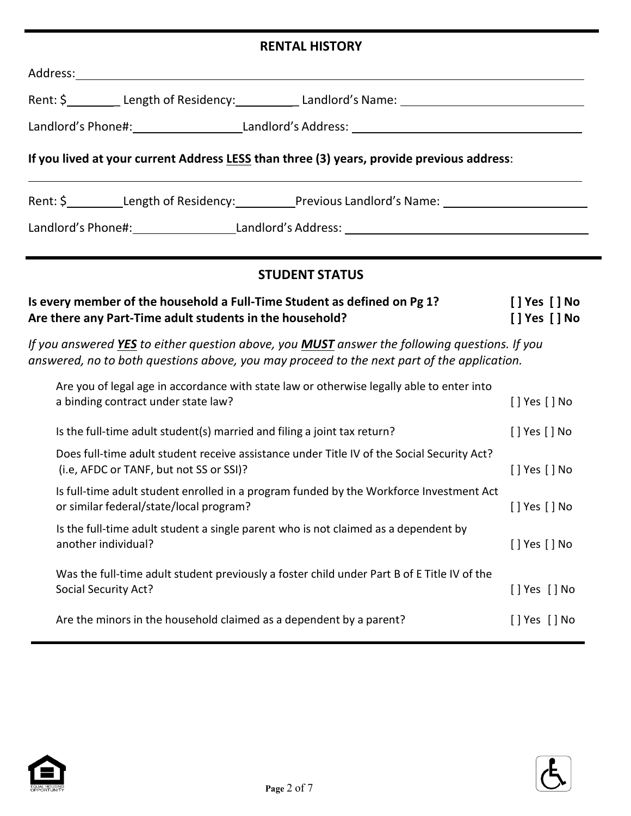## **RENTAL HISTORY**

| Address: Andreas Address: Address: Address: Address: Address: Address: Address: Address: Address: Address: Address: Address: Address: Address: Address: Address: Address: Address: Address: Address: Address: Address: Address |                                |
|--------------------------------------------------------------------------------------------------------------------------------------------------------------------------------------------------------------------------------|--------------------------------|
|                                                                                                                                                                                                                                |                                |
|                                                                                                                                                                                                                                |                                |
| If you lived at your current Address LESS than three (3) years, provide previous address:                                                                                                                                      |                                |
| Rent: \$____________Length of Residency:___________Previous Landlord's Name: _______________________                                                                                                                           |                                |
| Landlord's Phone#: Landlord's Address: Landlord's Address: Landlord's Address: Landlord's Phone #1                                                                                                                             |                                |
| <b>STUDENT STATUS</b>                                                                                                                                                                                                          |                                |
| Is every member of the household a Full-Time Student as defined on Pg 1?<br>Are there any Part-Time adult students in the household?                                                                                           | [ ] Yes [ ] No<br>[] Yes [] No |
| If you answered YES to either question above, you MUST answer the following questions. If you<br>answered, no to both questions above, you may proceed to the next part of the application.                                    |                                |
| Are you of legal age in accordance with state law or otherwise legally able to enter into<br>a binding contract under state law?                                                                                               | [] Yes [] No                   |
| Is the full-time adult student(s) married and filing a joint tax return?                                                                                                                                                       | $[]$ Yes $[]$ No               |
| Does full-time adult student receive assistance under Title IV of the Social Security Act?<br>(i.e, AFDC or TANF, but not SS or SSI)?                                                                                          | [] Yes [] No                   |
| Is full-time adult student enrolled in a program funded by the Workforce Investment Act<br>or similar federal/state/local program?                                                                                             | $\lceil$   Yes $\lceil$   No   |
| Is the full-time adult student a single parent who is not claimed as a dependent by<br>another individual?                                                                                                                     | [ ] Yes [ ] No                 |
| Was the full-time adult student previously a foster child under Part B of E Title IV of the<br>Social Security Act?                                                                                                            | [] Yes [] No                   |
| Are the minors in the household claimed as a dependent by a parent?                                                                                                                                                            | [] Yes [] No                   |



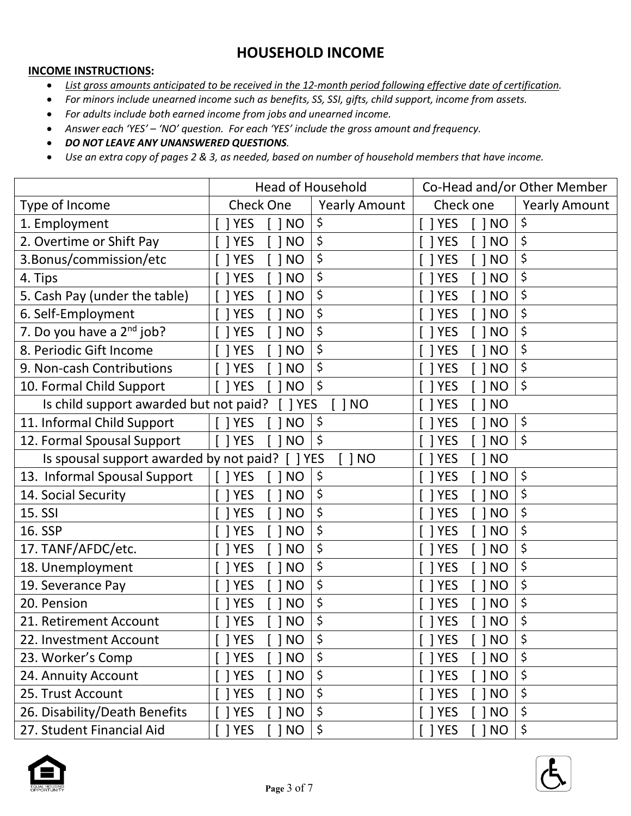# **HOUSEHOLD INCOME**

#### **INCOME INSTRUCTIONS:**

- *List gross amounts anticipated to be received in the 12-month period following effective date of certification.*
- *For minors include unearned income such as benefits, SS, SSI, gifts, child support, income from assets.*
- *For adults include both earned income from jobs and unearned income.*
- *Answer each 'YES' – 'NO' question. For each 'YES' include the gross amount and frequency.*

• *DO NOT LEAVE ANY UNANSWERED QUESTIONS.*

• Use an extra copy of pages 2 & 3, as needed, based on number of household members that have income.

|                                         | <b>Head of Household</b>    |                      | Co-Head and/or Other Member             |                      |
|-----------------------------------------|-----------------------------|----------------------|-----------------------------------------|----------------------|
| Type of Income                          | <b>Check One</b>            | <b>Yearly Amount</b> | Check one                               | <b>Yearly Amount</b> |
| 1. Employment                           | <b>YES</b><br><b>NO</b>     | \$                   | 1 YES<br>1 <sub>NO</sub>                | \$                   |
| 2. Overtime or Shift Pay                | <b>YES</b><br><b>NO</b>     | \$                   | <b>YES</b><br><b>NO</b>                 | \$                   |
| 3. Bonus/commission/etc                 | <b>NO</b><br><b>YES</b>     | \$                   | <b>YES</b><br><b>NO</b>                 | \$                   |
| 4. Tips                                 | <b>YES</b><br><b>NO</b>     | \$                   | <b>YES</b><br><b>NO</b>                 | \$                   |
| 5. Cash Pay (under the table)           | <b>YES</b><br><b>NO</b>     | \$                   | <b>YES</b><br><b>NO</b>                 | \$                   |
| 6. Self-Employment                      | <b>YES</b><br><b>NO</b>     | \$                   | 1 YES<br><b>NO</b>                      | \$                   |
| 7. Do you have a $2^{nd}$ job?          | <b>YES</b><br><b>NO</b>     | \$                   | <b>YES</b><br><b>NO</b>                 | \$                   |
| 8. Periodic Gift Income                 | <b>NO</b><br><b>YES</b>     | \$                   | <b>YES</b><br><b>NO</b>                 | \$                   |
| 9. Non-cash Contributions               | <b>NO</b><br><b>YES</b>     | \$                   | <b>YES</b><br><b>NO</b>                 | \$                   |
| 10. Formal Child Support                | <b>YES</b><br><b>NO</b>     | \$                   | <b>YES</b><br><b>NO</b>                 | \$                   |
| Is child support awarded but not paid?  | <b>YES</b>                  | 1 <sub>NO</sub>      | <b>YES</b><br><b>NO</b>                 |                      |
| 11. Informal Child Support              | $\lceil$   YES<br><b>NO</b> | \$                   | <b>YES</b><br><b>NO</b>                 | \$                   |
| 12. Formal Spousal Support              | $\lceil$   YES<br><b>NO</b> | \$                   | <b>YES</b><br><b>NO</b><br>$\mathbf{I}$ | \$                   |
| Is spousal support awarded by not paid? | $\lceil$   YES              | $[$ $]$ NO           | YES<br><b>NO</b>                        |                      |
| 13. Informal Spousal Support            | <b>YES</b><br><b>NO</b>     | \$                   | <b>YES</b><br><b>NO</b>                 | \$                   |
| 14. Social Security                     | <b>YES</b><br><b>NO</b>     | \$                   | <b>YES</b><br><b>NO</b>                 | \$                   |
| 15. SSI                                 | <b>YES</b><br><b>NO</b>     | \$                   | <b>YES</b><br><b>NO</b>                 | \$                   |
| 16. SSP                                 | <b>YES</b><br><b>NO</b>     | \$                   | <b>YES</b><br><b>NO</b>                 | \$                   |
| 17. TANF/AFDC/etc.                      | <b>YES</b><br><b>NO</b>     | \$                   | <b>YES</b><br><b>NO</b>                 | \$                   |
| 18. Unemployment                        | <b>YES</b><br><b>NO</b>     | \$                   | <b>YES</b><br><b>NO</b>                 | \$                   |
| 19. Severance Pay                       | <b>NO</b><br><b>YES</b>     | \$                   | <b>YES</b><br><b>NO</b>                 | \$                   |
| 20. Pension                             | <b>NO</b><br><b>YES</b>     | \$                   | <b>YES</b><br><b>NO</b>                 | \$                   |
| 21. Retirement Account                  | <b>NO</b><br><b>YES</b>     | \$                   | 1 YES<br><b>NO</b>                      | \$                   |
| 22. Investment Account                  | $[ ]$ YES<br>$[$ $]$ NO     | \$                   | $[$ $]$ YES<br>[ ] NO                   | ¢                    |
| 23. Worker's Comp                       | <b>YES</b><br><b>NO</b>     | \$                   | <b>YES</b><br><b>NO</b>                 | \$                   |
| 24. Annuity Account                     | <b>NO</b><br><b>YES</b>     | \$                   | ] YES<br><b>NO</b>                      | \$                   |
| 25. Trust Account                       | $[ ]$ YES<br><b>NO</b>      | \$                   | ] YES<br>1 <sub>NO</sub>                | \$                   |
| 26. Disability/Death Benefits           | <b>YES</b><br><b>NO</b>     | \$                   | YES<br><b>NO</b>                        | \$                   |
| 27. Student Financial Aid               | $[ ]$ YES<br><b>NO</b>      | \$                   | ] YES<br>] NO                           | \$                   |



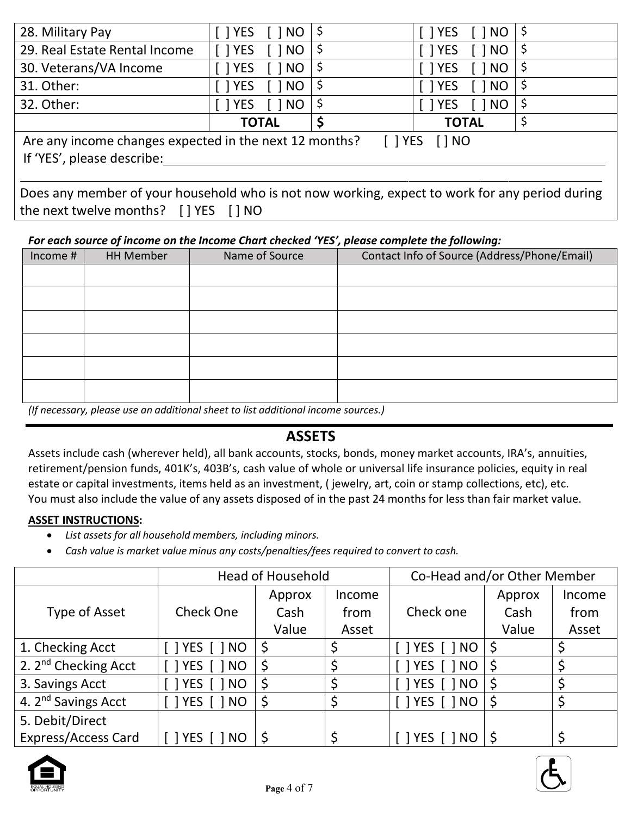| Are any income changes expected in the next 12 months?<br>$\lceil$   YES<br>$[$ $ $ $NQ$<br>If 'YES', please describe: |                                                                                                                                                                                                                                                                                                                                              |  |                                   |  |  |  |  |
|------------------------------------------------------------------------------------------------------------------------|----------------------------------------------------------------------------------------------------------------------------------------------------------------------------------------------------------------------------------------------------------------------------------------------------------------------------------------------|--|-----------------------------------|--|--|--|--|
|                                                                                                                        | <b>TOTAL</b>                                                                                                                                                                                                                                                                                                                                 |  | <b>TOTAL</b>                      |  |  |  |  |
| 32. Other:                                                                                                             | 1 YES<br>$\lceil$ $\rceil$ NO                                                                                                                                                                                                                                                                                                                |  | $\lceil$   YES<br><b>NO</b>       |  |  |  |  |
| 31. Other:                                                                                                             | <b>YES</b><br><b>NO</b>                                                                                                                                                                                                                                                                                                                      |  | <b>NO</b><br>$\lceil$   YES       |  |  |  |  |
| 30. Veterans/VA Income                                                                                                 | 1 YES<br>1 NO                                                                                                                                                                                                                                                                                                                                |  | <b>NO</b><br>$\lceil$   YES       |  |  |  |  |
| 29. Real Estate Rental Income                                                                                          | $\lceil$   YES<br>$\lceil$ $\rceil$ NO                                                                                                                                                                                                                                                                                                       |  | NO<br>$\lceil$   YES              |  |  |  |  |
| 28. Military Pay                                                                                                       | $\lceil$ $\lceil$ $\lceil$ $\lceil$ $\lceil$ $\lceil$ $\lceil$ $\lceil$ $\lceil$ $\lceil$ $\lceil$ $\lceil$ $\lceil$ $\lceil$ $\lceil$ $\lceil$ $\lceil$ $\lceil$ $\lceil$ $\lceil$ $\lceil$ $\lceil$ $\lceil$ $\lceil$ $\lceil$ $\lceil$ $\lceil$ $\lceil$ $\lceil$ $\lceil$ $\lceil$ $\lceil$ $\lceil$ $\lceil$ $\lceil$ $\lceil$ $\lceil$ |  | $\lceil$   NO  <br>$\lceil$   YES |  |  |  |  |

| Does any member of your household who is not now working, expect to work for any period during |  |  |  |
|------------------------------------------------------------------------------------------------|--|--|--|
| the next twelve months? [] YES [] NO                                                           |  |  |  |

#### *For each source of income on the Income Chart checked 'YES', please complete the following:*

| Income # | <b>HH Member</b> | Name of Source | Contact Info of Source (Address/Phone/Email) |
|----------|------------------|----------------|----------------------------------------------|
|          |                  |                |                                              |
|          |                  |                |                                              |
|          |                  |                |                                              |
|          |                  |                |                                              |
|          |                  |                |                                              |
|          |                  |                |                                              |

*(If necessary, please use an additional sheet to list additional income sources.)*

## **ASSETS**

Assets include cash (wherever held), all bank accounts, stocks, bonds, money market accounts, IRA's, annuities, retirement/pension funds, 401K's, 403B's, cash value of whole or universal life insurance policies, equity in real estate or capital investments, items held as an investment, ( jewelry, art, coin or stamp collections, etc), etc. You must also include the value of any assets disposed of in the past 24 months for less than fair market value.

#### **ASSET INSTRUCTIONS:**

- *List assets for all household members, including minors.*
- *Cash value is market value minus any costs/penalties/fees required to convert to cash.*

|                                  | <b>Head of Household</b> |        |        | Co-Head and/or Other Member  |        |        |
|----------------------------------|--------------------------|--------|--------|------------------------------|--------|--------|
|                                  |                          | Approx | Income |                              | Approx | Income |
| Type of Asset                    | <b>Check One</b>         | Cash   | from   | Check one                    | Cash   | from   |
|                                  |                          | Value  | Asset  |                              | Value  | Asset  |
| 1. Checking Acct                 |                          |        |        | $\lceil$   YES $\lceil$   NO | \$     |        |
| 2. 2 <sup>nd</sup> Checking Acct | YES  <br>$\bigcap$ NO    | \$,    |        | TYES<br><b>NO</b>            | \$     |        |
| 3. Savings Acct                  | <b>TYES</b> [<br>1 NO    |        |        | $ $ YES $ $<br><b>NO</b>     | S      |        |
| 4. 2 <sup>nd</sup> Savings Acct  |                          |        |        | $\lceil$   YES $\lceil$   NO | \$     | \$     |
| 5. Debit/Direct                  |                          |        |        |                              |        |        |
| <b>Express/Access Card</b>       | i 1 YES i<br>ำ NO        |        |        | TYES<br>NO.                  |        |        |



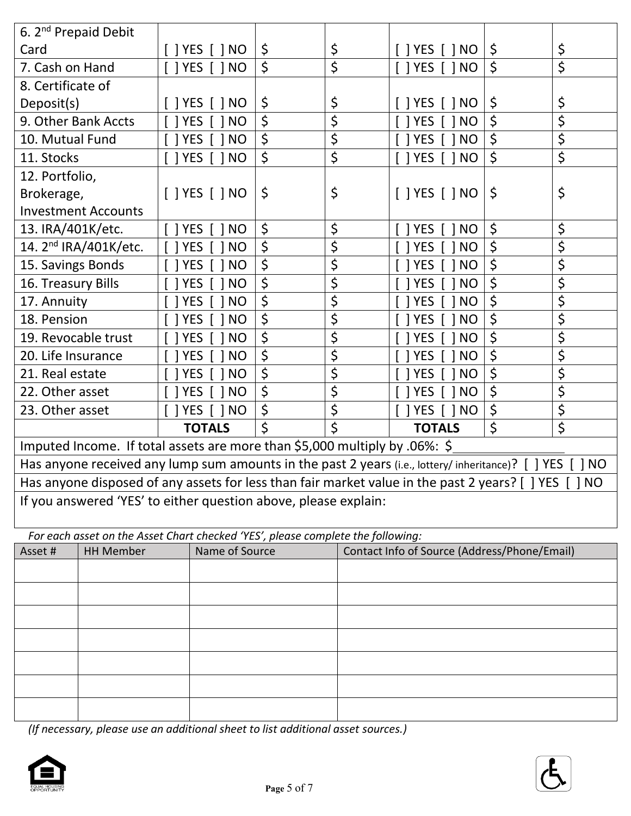| 6. 2 <sup>nd</sup> Prepaid Debit |                                   |                                                                                                       |          |                                              |          |
|----------------------------------|-----------------------------------|-------------------------------------------------------------------------------------------------------|----------|----------------------------------------------|----------|
| Card                             |                                   | $\lceil$   YES $\lceil$   NO                                                                          | \$<br>\$ | $\lceil$   YES $\lceil$   NO                 | \$<br>\$ |
| 7. Cash on Hand                  |                                   | $\lceil$   YES $\lceil$   NO                                                                          | \$<br>\$ | $\lceil$   YES $\lceil$   NO                 | \$<br>\$ |
| 8. Certificate of                |                                   |                                                                                                       |          |                                              |          |
| Deposit(s)                       |                                   | $[$ ] YES $[$ ] NO                                                                                    | \$<br>\$ | $\lceil$   YES $\lceil$   NO                 | \$<br>\$ |
| 9. Other Bank Accts              |                                   | <b>YES</b><br>NO                                                                                      | \$<br>\$ | 1 YES<br>NO                                  | \$<br>\$ |
| 10. Mutual Fund                  |                                   | <b>YES</b><br>1 NO                                                                                    | \$<br>\$ | I YES<br><b>NO</b>                           | \$<br>\$ |
| 11. Stocks                       |                                   | <b>YES</b><br>$\lceil$ $\rceil$ NO                                                                    | \$<br>\$ | T YES<br>$\lceil$   NO                       | \$<br>\$ |
| 12. Portfolio,                   |                                   |                                                                                                       |          |                                              |          |
| Brokerage,                       |                                   | [ ] YES [ ] NO                                                                                        | \$<br>\$ | $[$ ] YES $[$ ] NO                           | \$<br>\$ |
|                                  | <b>Investment Accounts</b>        |                                                                                                       |          |                                              |          |
| 13. IRA/401K/etc.                |                                   | $\lceil$   YES $\lceil$   NO                                                                          | \$<br>\$ | 1 YES<br><b>NO</b>                           | \$<br>\$ |
|                                  | 14. 2 <sup>nd</sup> IRA/401K/etc. | <b>YES</b><br>$\lceil$ $\rceil$ NO                                                                    | \$<br>\$ | <b>NO</b><br>1 YES                           | \$<br>\$ |
| 15. Savings Bonds                |                                   | YES [ ] NO                                                                                            | \$<br>\$ | 1 YES<br><b>NO</b>                           | \$<br>\$ |
| 16. Treasury Bills               |                                   | YES [ ] NO                                                                                            | \$<br>\$ | <b>NO</b><br>1 YES                           | \$<br>\$ |
| 17. Annuity                      |                                   | YES [ ] NO                                                                                            | \$<br>\$ | 1 YES<br><b>NO</b>                           | \$<br>\$ |
| 18. Pension                      |                                   | <b>YES</b><br>  NO                                                                                    | \$<br>\$ | <b>YES</b><br><b>NO</b>                      | \$<br>\$ |
| 19. Revocable trust              |                                   | <b>YES</b><br>1 NO                                                                                    | \$<br>\$ | <b>YES</b><br>N <sub>O</sub>                 | \$<br>\$ |
| 20. Life Insurance               |                                   | <b>YES</b><br><b>NO</b>                                                                               | \$<br>\$ | <b>YES</b><br><b>NO</b>                      | \$<br>\$ |
| 21. Real estate                  |                                   | <b>YES</b><br>1 NO                                                                                    | \$<br>\$ | 1 YES<br>N <sub>O</sub>                      | \$<br>\$ |
| 22. Other asset                  |                                   | <b>YES</b><br>1 NO                                                                                    | \$<br>\$ | <b>YES</b><br>N <sub>O</sub>                 | \$<br>\$ |
| 23. Other asset                  |                                   | $\lceil$   YES $\lceil$   NO                                                                          | \$<br>\$ | 1 YES<br>$\lceil$ $\rceil$ NO                | \$<br>\$ |
|                                  |                                   | <b>TOTALS</b>                                                                                         | \$<br>\$ | <b>TOTALS</b>                                | \$<br>\$ |
|                                  |                                   | Imputed Income. If total assets are more than \$5,000 multiply by .06%: \$                            |          |                                              |          |
|                                  |                                   | Has anyone received any lump sum amounts in the past 2 years (i.e., lottery/ inheritance)? [ ] YES [  |          |                                              | 1 NO     |
|                                  |                                   | Has anyone disposed of any assets for less than fair market value in the past 2 years? [ ] YES [ ] NO |          |                                              |          |
|                                  |                                   | If you answered 'YES' to either question above, please explain:                                       |          |                                              |          |
|                                  |                                   |                                                                                                       |          |                                              |          |
|                                  |                                   | For each asset on the Asset Chart checked 'YES', please complete the following:                       |          |                                              |          |
| Asset #                          | <b>HH Member</b>                  | Name of Source                                                                                        |          | Contact Info of Source (Address/Phone/Email) |          |
|                                  |                                   |                                                                                                       |          |                                              |          |
|                                  |                                   |                                                                                                       |          |                                              |          |
|                                  |                                   |                                                                                                       |          |                                              |          |

*(If necessary, please use an additional sheet to list additional asset sources.)*



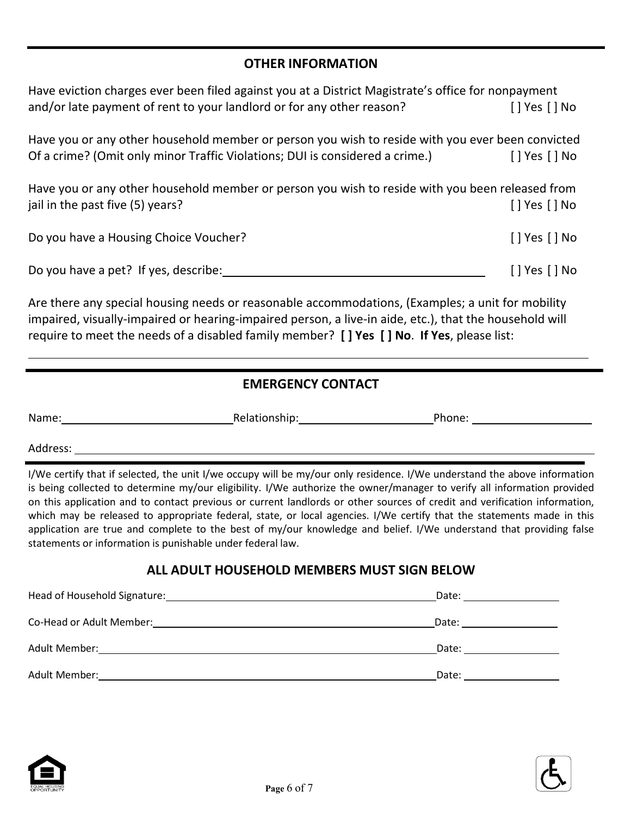### **OTHER INFORMATION**

| Have eviction charges ever been filed against you at a District Magistrate's office for nonpayment<br>and/or late payment of rent to your landlord or for any other reason?      | [ ] Yes [ ] No               |
|----------------------------------------------------------------------------------------------------------------------------------------------------------------------------------|------------------------------|
| Have you or any other household member or person you wish to reside with you ever been convicted<br>Of a crime? (Omit only minor Traffic Violations; DUI is considered a crime.) | [ ] Yes [ ] No               |
| Have you or any other household member or person you wish to reside with you been released from<br>jail in the past five (5) years?                                              | [ ] Yes [ ] No               |
| Do you have a Housing Choice Voucher?                                                                                                                                            | $\lceil$   Yes $\lceil$   No |
| Do you have a pet? If yes, describe:                                                                                                                                             | [] Yes [] No                 |
| Are there any special housing needs or reasonable accommodations, (Examples; a unit for mobility                                                                                 |                              |

impaired, visually-impaired or hearing-impaired person, a live-in aide, etc.), that the household will require to meet the needs of a disabled family member? **[ ] Yes [ ] No**. **If Yes**, please list:

## **EMERGENCY CONTACT**

| Name: | Relationship. | Phone: |
|-------|---------------|--------|
|       |               |        |

Address:

I/We certify that if selected, the unit I/we occupy will be my/our only residence. I/We understand the above information is being collected to determine my/our eligibility. I/We authorize the owner/manager to verify all information provided on this application and to contact previous or current landlords or other sources of credit and verification information, which may be released to appropriate federal, state, or local agencies. I/We certify that the statements made in this application are true and complete to the best of my/our knowledge and belief. I/We understand that providing false statements or information is punishable under federal law.

### **ALL ADULT HOUSEHOLD MEMBERS MUST SIGN BELOW**

| Head of Household Signature: | Date: |
|------------------------------|-------|
|                              |       |
|                              | Date: |
| Adult Member:                | Date: |
|                              |       |
| Adult Member:                | Date: |